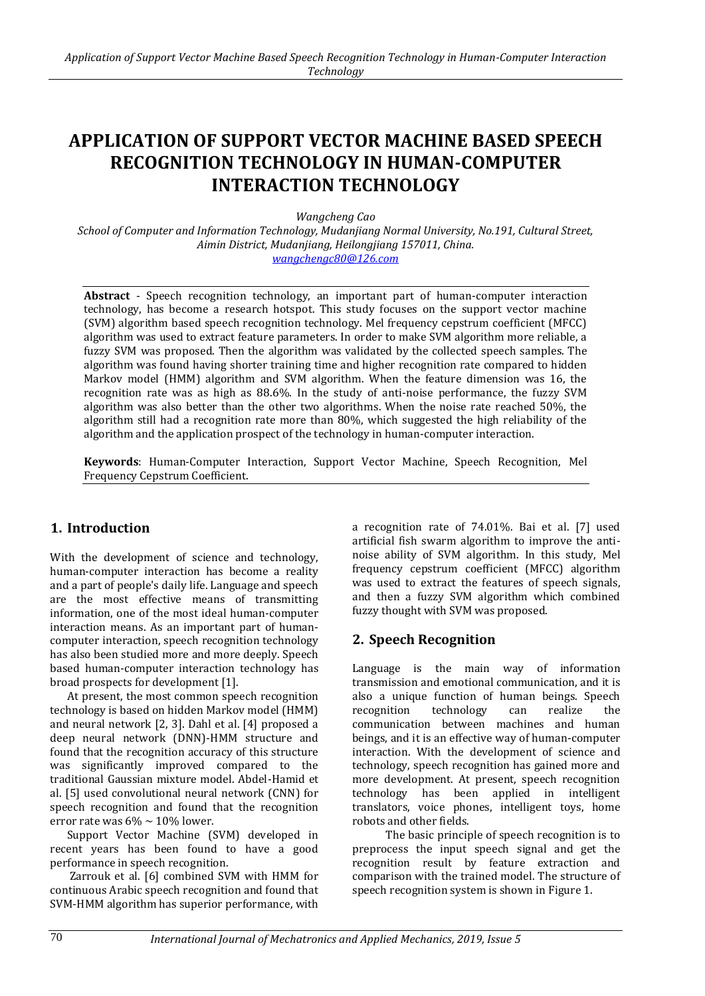# **APPLICATION OF SUPPORT VECTOR MACHINE BASED SPEECH RECOGNITION TECHNOLOGY IN HUMAN-COMPUTER INTERACTION TECHNOLOGY**

*Wangcheng Cao*

*School of Computer and Information Technology, Mudanjiang Normal University, No.191, Cultural Street, Aimin District, Mudanjiang, Heilongjiang 157011, China. wangchengc80@126.com*

**Abstract** - Speech recognition technology, an important part of human-computer interaction technology, has become a research hotspot. This study focuses on the support vector machine (SVM) algorithm based speech recognition technology. Mel frequency cepstrum coefficient (MFCC) algorithm was used to extract feature parameters. In order to make SVM algorithm more reliable, a fuzzy SVM was proposed. Then the algorithm was validated by the collected speech samples. The algorithm was found having shorter training time and higher recognition rate compared to hidden Markov model (HMM) algorithm and SVM algorithm. When the feature dimension was 16, the recognition rate was as high as 88.6%. In the study of anti-noise performance, the fuzzy SVM algorithm was also better than the other two algorithms. When the noise rate reached 50%, the algorithm still had a recognition rate more than 80%, which suggested the high reliability of the algorithm and the application prospect of the technology in human-computer interaction.

**Keywords**: Human-Computer Interaction, Support Vector Machine, Speech Recognition, Mel Frequency Cepstrum Coefficient.

## **1. Introduction**

With the development of science and technology, human-computer interaction has become a reality and a part of people's daily life. Language and speech are the most effective means of transmitting information, one of the most ideal human-computer interaction means. As an important part of humancomputer interaction, speech recognition technology has also been studied more and more deeply. Speech based human-computer interaction technology has broad prospects for development [1].

At present, the most common speech recognition technology is based on hidden Markov model (HMM) and neural network [2, 3]. Dahl et al. [4] proposed a deep neural network (DNN)-HMM structure and found that the recognition accuracy of this structure was significantly improved compared to the traditional Gaussian mixture model. Abdel-Hamid et al. [5] used convolutional neural network (CNN) for speech recognition and found that the recognition error rate was  $6\% \sim 10\%$  lower.

Support Vector Machine (SVM) developed in recent years has been found to have a good performance in speech recognition.

Zarrouk et al. [6] combined SVM with HMM for continuous Arabic speech recognition and found that SVM-HMM algorithm has superior performance, with

a recognition rate of 74.01%. Bai et al. [7] used artificial fish swarm algorithm to improve the antinoise ability of SVM algorithm. In this study, Mel frequency cepstrum coefficient (MFCC) algorithm was used to extract the features of speech signals, and then a fuzzy SVM algorithm which combined fuzzy thought with SVM was proposed.

### **2. Speech Recognition**

Language is the main way of information transmission and emotional communication, and it is also a unique function of human beings. Speech recognition technology can realize the communication between machines and human beings, and it is an effective way of human-computer interaction. With the development of science and technology, speech recognition has gained more and more development. At present, speech recognition technology has been applied in intelligent translators, voice phones, intelligent toys, home robots and other fields.

The basic principle of speech recognition is to preprocess the input speech signal and get the recognition result by feature extraction and comparison with the trained model. The structure of speech recognition system is shown in Figure 1.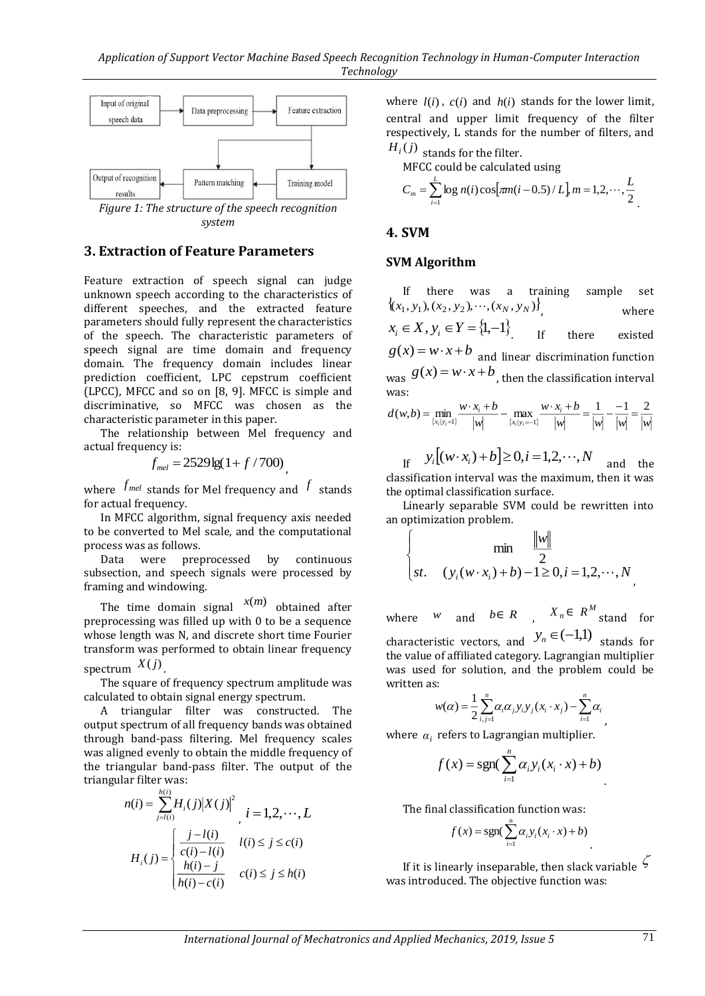

*system*

### **3. Extraction of Feature Parameters**

Feature extraction of speech signal can judge unknown speech according to the characteristics of different speeches, and the extracted feature parameters should fully represent the characteristics of the speech. The characteristic parameters of speech signal are time domain and frequency domain. The frequency domain includes linear prediction coefficient, LPC cepstrum coefficient (LPCC), MFCC and so on [8, 9]. MFCC is simple and discriminative, so MFCC was chosen as the characteristic parameter in this paper.

The relationship between Mel frequency and actual frequency is:

$$
f_{mel} = 2529 \lg(1 + f/700)
$$

where  $f_{mel}$  stands for Mel frequency and  $f$  stands for actual frequency.

In MFCC algorithm, signal frequency axis needed to be converted to Mel scale, and the computational process was as follows.

Data were preprocessed by continuous subsection, and speech signals were processed by framing and [windowing.](file:///C:/Program%20Files/Youdao/Dict/8.3.1.0/resultui/html/index.html#/javascript:;)

The time domain signal  $x(m)$  obtained after preprocessing was filled up with 0 to be a sequence whose length was N, and discrete short time Fourier transform was performed to obtain linear frequency spectrum  $X(j)$  .

The square of frequency spectrum amplitude was calculated to obtain signal energy spectrum.

A triangular filter was constructed. The output spectrum of al[l frequency](file:///C:/Program%20Files/Youdao/Dict/8.3.1.0/resultui/html/index.html#/javascript:;) [bands](file:///C:/Program%20Files/Youdao/Dict/8.3.1.0/resultui/html/index.html#/javascript:;) was obtained through band-pass filtering. Mel frequency scales was aligned evenly to obtain the middle frequency of the triangular band-pass filter. The output of the triangular filter was:

$$
n(i) = \sum_{j=l(i)}^{h(i)} H_i(j) |X(j)|^2
$$
  
\n
$$
i = 1, 2, \dots, L
$$
  
\n
$$
H_i(j) = \begin{cases} \frac{j - l(i)}{c(i) - l(i)} & l(i) \le j \le c(i) \\ \frac{h(i) - j}{h(i) - c(i)} & c(i) \le j \le h(i) \end{cases}
$$

where  $l(i)$ ,  $c(i)$  and  $h(i)$  stands for the lower limit, central and upper limit frequency of the filter respectively, L stands for the number of filters, and

 $H_i(j)$  stands for the filter.

MFCC could be calculated using

$$
C_m = \sum_{i=1}^{L} \log n(i) \cos[\pi m(i-0.5)/L] \, m = 1, 2, \cdots, \frac{L}{2}
$$

#### **4. SVM**

#### **SVM Algorithm**

If there was a training sample set  $\{(x_1, y_1), (x_2, y_2), \cdots, (x_N, y_N)\}\$ , where  $x_i \in X$ ,  $y_i \in Y = \{1, -1\}$ . If there existed  $g(x) = w \cdot x + b$  and linear [discrimination](file:///C:/Program%20Files/Youdao/Dict/8.3.1.0/resultui/html/index.html#/javascript:;) [function](file:///C:/Program%20Files/Youdao/Dict/8.3.1.0/resultui/html/index.html#/javascript:;) was  $g(x) = w \cdot x + b$ , then the classification interval was:  $d(w,b) = \min_{w \to x_i + b} \frac{w \cdot x_i + b}{w} = \max_{w \to x_i + b} \frac{w \cdot x_i + b}{w \cdot x_i + b} = \frac{1}{w \cdot x_i} = \frac{2}{w \cdot x_i}$  $-$  max  $\frac{w \cdot x_i + b}{\cdots} = \frac{1}{\cdots} - \frac{1}{\cdots}$  $=$  min  $\frac{w \cdot x_i +$ 

$$
\frac{1}{\{x_i | y_i = 1\}} - \frac{1}{|w|} - \frac{1}{\{x_i | y_i = 1\}} - \frac{1}{|w|} - \frac{1}{|w|} - \frac{1}{|w|} - \frac{1}{|w|}
$$

 $y_i$   $[y_i^j(w \cdot x_i) + b] \ge 0, i = 1, 2, \dots, N$ and the classification interval was the maximum, then it was the optimal classification surface.

Linearly separable SVM could be rewritten into an optimization problem.

$$
\begin{cases}\n\min \frac{\|w\|}{2} \\
st. \quad (y_i(w \cdot x_i) + b) - 1 \ge 0, i = 1, 2, \cdots, N\n\end{cases}
$$

where  $W$  and  $b \in R$ ,  $X_n \in R^M$  stand for characteristic vectors, and  $y_n \in (-1,1)$  stands for the value of affiliated category. Lagrangian multiplier was used for solution, and the problem could be written as:

$$
w(\alpha) = \frac{1}{2} \sum_{i,j=1}^n \alpha_i \alpha_j y_i y_j (x_i \cdot x_j) - \sum_{i=1}^n \alpha_i
$$

where  $\alpha_i$  refers to Lagrangian multiplier.

$$
f(x) = \text{sgn}(\sum_{i=1}^{n} \alpha_i y_i(x_i \cdot x) + b)
$$

The final classification function was:

$$
f(x) = \operatorname{sgn}(\sum_{i=1}^{n} \alpha_i y_i (x_i \cdot x) + b)
$$

If it is linearly inseparable, then slack variable  $\zeta$ was introduced. The objective function was: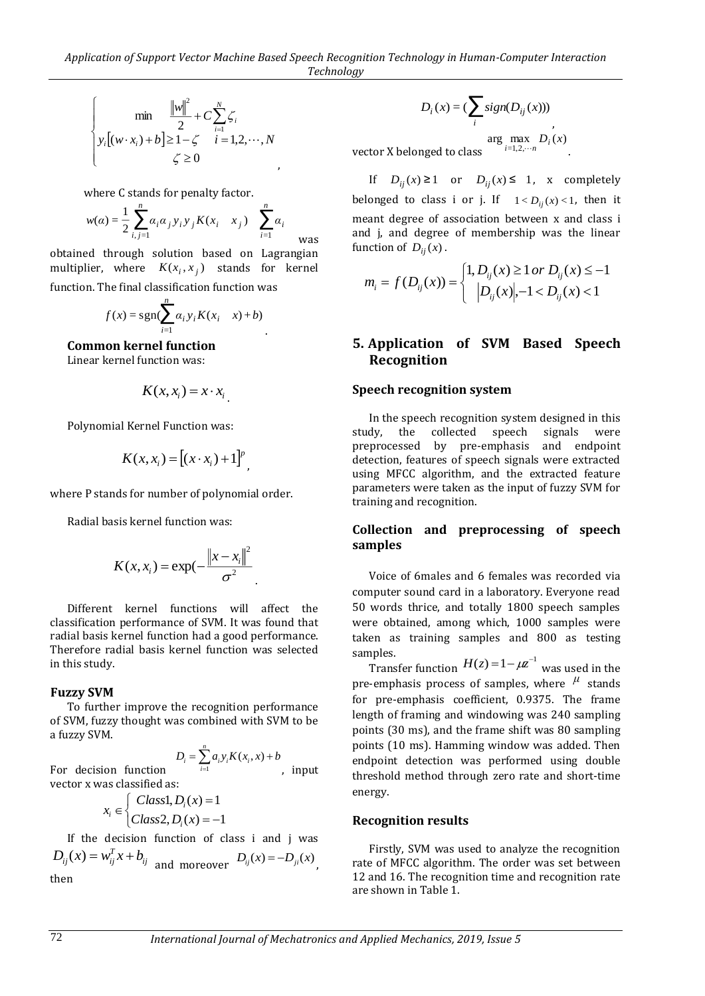$$
\begin{cases}\n\min \frac{\|w\|^2}{2} + C \sum_{i=1}^N \zeta_i \\
y_i[(w \cdot x_i) + b] \ge 1 - \zeta & i = 1, 2, \cdots, N \\
\zeta \ge 0 & ,\n\end{cases}
$$

where C stands for penalty factor.

$$
w(\alpha) = \frac{1}{2} \sum_{i,j=1}^{n} \alpha_i \alpha_j y_i y_j K(x_i - x_j) \sum_{i=1}^{n} \alpha_i
$$

obtained through solution based on Lagrangian multiplier, where  $K(x_i, x_j)$  stands for kernel function. The final classification function was

$$
f(x) = sgn(\sum_{i=1}^{n} \alpha_i y_i K(x_i - x) + b)
$$

**Common kernel function**

Linear kernel function was:

$$
K(x, x_i) = x \cdot x_i
$$

Polynomial Kernel Function was:

$$
K(x, x_i) = [(x \cdot x_i) + 1]^p
$$

,

where P stands for number of polynomial order.

Radial basis kernel function was:

$$
K(x, x_i) = \exp(-\frac{\|x - x_i\|^2}{\sigma^2})
$$

Different kernel functions will affect the classification performance of SVM. It was found that radial basis kernel function had a good performance. Therefore radial basis kernel function was selected in this study.

#### **Fuzzy SVM**

To further improve the recognition performance of SVM, fuzzy thought was combined with SVM to be a fuzzy SVM.

For decision function 
$$
D_i = \sum_{i=1}^{n} a_i y_i K(x_i, x) + b
$$
, input

vector x was classified as:  

$$
x_i \in \begin{cases} Class1, D_i(x) = 1\\ Class2, D_i(x) = -1 \end{cases}
$$

If the decision function of class i and j was  $D_{ij}(x) = w_{ij}^T x + b_{ij}$  and moreover  $D_{ij}(x) = -D_{ji}(x)$ , then

$$
D_i(x) = \left(\sum_i sign(D_{ij}(x))\right)
$$

vector X belonged to class  $\arg \max_{i=1,2,\cdots n} D_i(x)$ 

If  $D_{ij}(x) \ge 1$  or  $D_{ij}(x) \le 1$ , x completely belonged to class i or j. If  $1 < D_{ij}(x) < 1$ , then it meant degree of association between x and class i and j, and degree of membership was the linear function of  $D_{ij}(x)$ .

.

$$
m_i = f(D_{ij}(x)) = \begin{cases} 1, D_{ij}(x) \ge 1 \text{ or } D_{ij}(x) \le -1 \\ |D_{ij}(x)|, -1 < D_{ij}(x) < 1 \end{cases}
$$

### **5. Application of SVM Based Speech Recognition**

#### **Speech recognition system**

In the speech recognition system designed in this study, the collected speech signals were preprocessed by pre-emphasis and endpoint detection, features of speech signals were extracted using MFCC algorithm, and the extracted feature parameters were taken as the input of fuzzy SVM for training and recognition.

#### **Collection and preprocessing of speech samples**

Voice of 6males and 6 females was recorded via computer sound card in a laboratory. Everyone read 50 words thrice, and totally 1800 speech samples were obtained, among which, 1000 samples were taken as training samples and 800 as testing samples.

Transfer function  $H(z) = 1 - \mu z^{-1}$  was used in the pre-emphasis process of samples, where  $\mu$  stands for pre-emphasis coefficient, 0.9375. The frame length of framing and windowing was 240 sampling points (30 ms), and the frame shift was 80 sampling points (10 ms). Hamming window was added. Then endpoint detection was performed using double threshold method through zero rate and short-time energy.

#### **Recognition results**

Firstly, SVM was used to analyze the recognition rate of MFCC algorithm. The order was set between 12 and 16. The recognition time and recognition rate are shown in Table 1.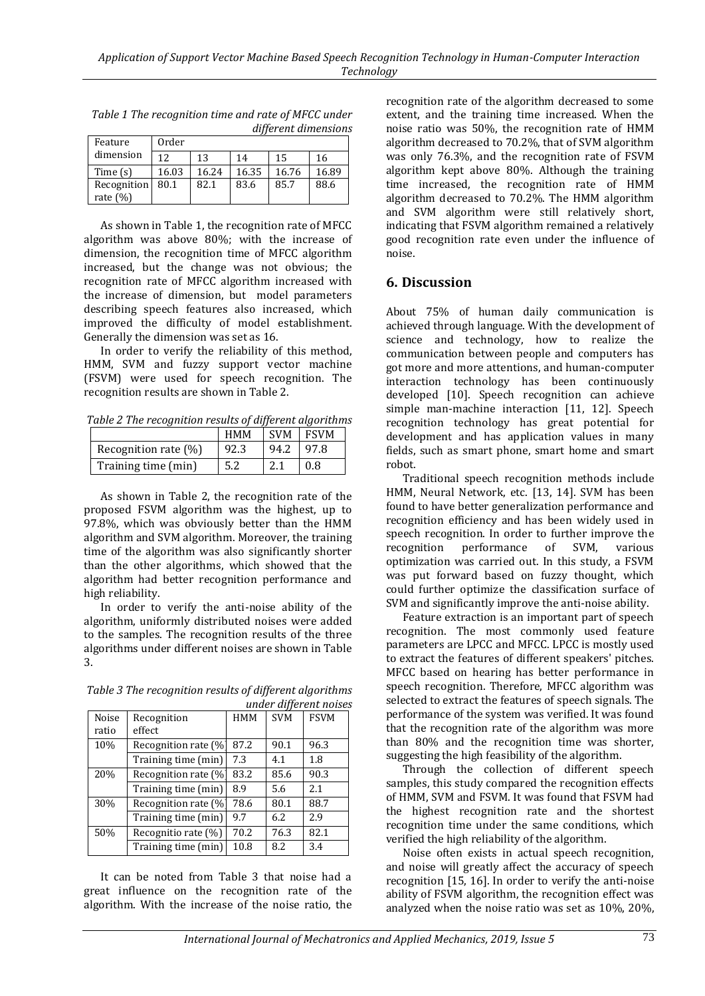| Feature                   | ,,<br>Order |       |       |       |       |  |
|---------------------------|-------------|-------|-------|-------|-------|--|
| dimension                 | 12          | 13    | 14    | 15    | 16    |  |
| Time $(s)$                | 16.03       | 16.24 | 16.35 | 16.76 | 16.89 |  |
| Recognition<br>rate $(%)$ | 80.1        | 82.1  | 83.6  | 85.7  | 88.6  |  |

*Table 1 The recognition time and rate of MFCC under different dimensions*

As shown in Table 1, the recognition rate of MFCC algorithm was above 80%; with the increase of dimension, the recognition time of MFCC algorithm increased, but the change was not obvious; the recognition rate of MFCC algorithm increased with the increase of dimension, but model parameters describing speech features also increased, which improved the difficulty of model establishment. Generally the dimension was set as 16.

In order to verify the reliability of this method, HMM, SVM and fuzzy support vector machine (FSVM) were used for speech recognition. The recognition results are shown in Table 2.

*Table 2 The recognition results of different algorithms*

|                         | <b>HMM</b> | <b>SVM</b> | <b>FSVM</b> |
|-------------------------|------------|------------|-------------|
| Recognition rate $(\%)$ | 92.3       | 94.2       | 97.8        |
| Training time (min)     | 5.2        |            | 0.8         |

As shown in Table 2, the recognition rate of the proposed FSVM algorithm was the highest, up to 97.8%, which was obviously better than the HMM algorithm and SVM algorithm. Moreover, the training time of the algorithm was also significantly shorter than the other algorithms, which showed that the algorithm had better recognition performance and high reliability.

In order to verify the anti-noise ability of the algorithm, uniformly distributed noises were added to the samples. The recognition results of the three algorithms under different noises are shown in Table 3.

| Table 3 The recognition results of different algorithms |  |
|---------------------------------------------------------|--|
| under different noises                                  |  |

| Noise<br>ratio | Recognition<br>effect | HMM  | <b>SVM</b> | <b>FSVM</b> |
|----------------|-----------------------|------|------------|-------------|
| 10%            | Recognition rate (%   | 87.2 | 90.1       | 96.3        |
|                | Training time (min)   | 7.3  | 4.1        | 1.8         |
| 20%            | Recognition rate (%   | 83.2 | 85.6       | 90.3        |
|                | Training time (min)   | 8.9  | 5.6        | 2.1         |
| 30%            | Recognition rate (%   | 78.6 | 80.1       | 88.7        |
|                | Training time (min)   | 9.7  | 6.2        | 2.9         |
| 50%            | Recognitio rate (%)   | 70.2 | 76.3       | 82.1        |
|                | Training time (min)   | 10.8 | 8.2        | 3.4         |

It can be noted from Table 3 that noise had a great influence on the recognition rate of the algorithm. With the increase of the noise ratio, the recognition rate of the algorithm decreased to some extent, and the training time increased. When the noise ratio was 50%, the recognition rate of HMM algorithm decreased to 70.2%, that of SVM algorithm was only 76.3%, and the recognition rate of FSVM algorithm kept above 80%. Although the training time increased, the recognition rate of HMM algorithm decreased to 70.2%. The HMM algorithm and SVM algorithm were still relatively short, indicating that FSVM algorithm remained a relatively good recognition rate even under the influence of noise.

## **6. Discussion**

About 75% of human daily communication is achieved through language. With the development of science and technology, how to realize the communication between people and computers has got more and more attentions, and human-computer interaction technology has been continuously developed [10]. Speech recognition can achieve simple man-machine interaction [11, 12]. Speech recognition technology has great potential for development and has application values in many fields, such as smart phone, smart home and smart robot.

Traditional speech recognition methods include HMM, Neural Network, etc. [13, 14]. SVM has been found to have better generalization performance and recognition efficiency and has been widely used in speech recognition. In order to further improve the recognition performance of SVM, various optimization was carried out. In this study, a FSVM was put forward based on fuzzy thought, which could further optimize the classification surface of SVM and significantly improve the anti-noise ability.

Feature extraction is an important part of speech recognition. The most commonly used feature parameters are LPCC and MFCC. LPCC is mostly used to extract the features of different speakers' pitches. MFCC based on hearing has better performance in speech recognition. Therefore, MFCC algorithm was selected to extract the features of speech signals. The performance of the system was verified. It was found that the recognition rate of the algorithm was more than 80% and the recognition time was shorter, suggesting the high feasibility of the algorithm.

Through the collection of different speech samples, this study compared the recognition effects of HMM, SVM and FSVM. It was found that FSVM had the highest recognition rate and the shortest recognition time under the same conditions, which verified the high reliability of the algorithm.

Noise often exists in actual speech recognition, and noise will greatly affect the accuracy of speech recognition [15, 16]. In order to verify the anti-noise ability of FSVM algorithm, the recognition effect was analyzed when the noise ratio was set as 10%, 20%,